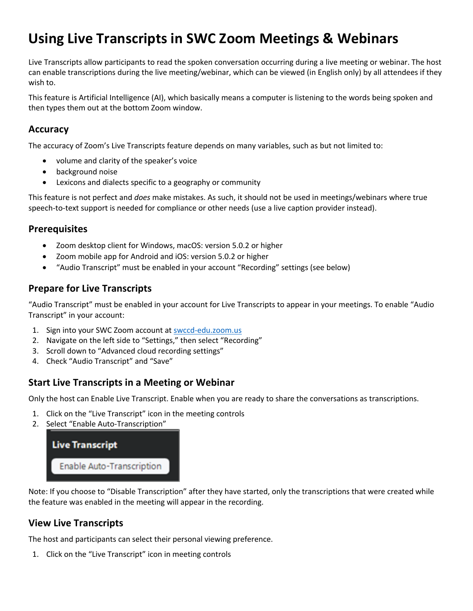# **Using Live Transcripts in SWC Zoom Meetings & Webinars**

Live Transcripts allow participants to read the spoken conversation occurring during a live meeting or webinar. The host can enable transcriptions during the live meeting/webinar, which can be viewed (in English only) by all attendees if they wish to.

This feature is Artificial Intelligence (AI), which basically means a computer is listening to the words being spoken and then types them out at the bottom Zoom window.

### **Accuracy**

The accuracy of Zoom's Live Transcripts feature depends on many variables, such as but not limited to:

- volume and clarity of the speaker's voice
- background noise
- Lexicons and dialects specific to a geography or community

This feature is not perfect and *does* make mistakes. As such, it should not be used in meetings/webinars where true speech-to-text support is needed for compliance or other needs (use a live caption provider instead).

### **Prerequisites**

- Zoom desktop client for Windows, macOS: version 5.0.2 or higher
- Zoom mobile app for Android and iOS: version 5.0.2 or higher
- "Audio Transcript" must be enabled in your account "Recording" settings (see below)

### **Prepare for Live Transcripts**

"Audio Transcript" must be enabled in your account for Live Transcripts to appear in your meetings. To enable "Audio Transcript" in your account:

- 1. Sign into your SWC Zoom account at swccd-edu.zoom.us
- 2. Navigate on the left side to "Settings," then select "Recording"
- 3. Scroll down to "Advanced cloud recording settings"
- 4. Check "Audio Transcript" and "Save"

#### **Start Live Transcripts in a Meeting or Webinar**

Only the host can Enable Live Transcript. Enable when you are ready to share the conversations as transcriptions.

- 1. Click on the "Live Transcript" icon in the meeting controls
- 2. Select "Enable Auto-Transcription"



Note: If you choose to "Disable Transcription" after they have started, only the transcriptions that were created while the feature was enabled in the meeting will appear in the recording.

## **View Live Transcripts**

The host and participants can select their personal viewing preference.

1. Click on the "Live Transcript" icon in meeting controls